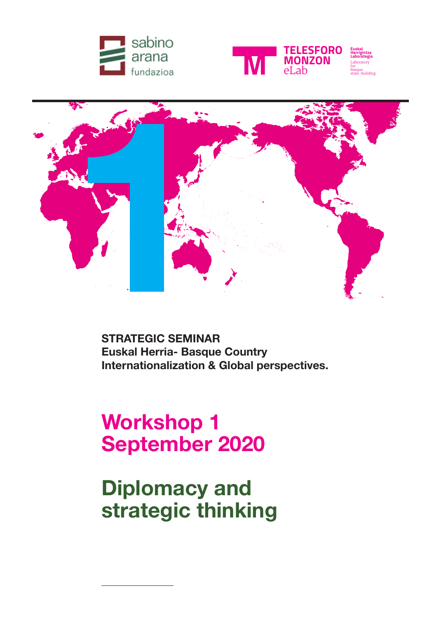







**STRATEGIC SEMINAR Euskal Herria- Basque Country Internationalization & Global perspectives.**

## **Workshop 1 September 2020**

**Diplomacy and strategic thinking**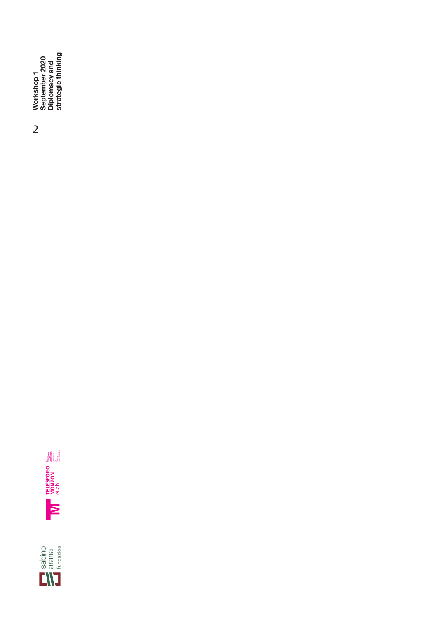



sabino<br>arana<br><sub>tindazioa</sub>

2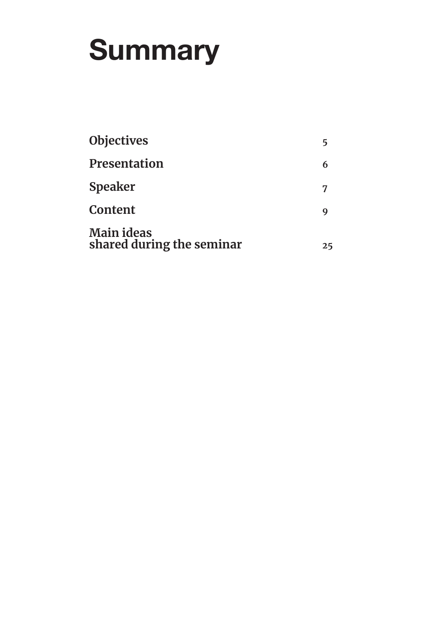# **Summary**

| <b>Objectives</b>                              |    |
|------------------------------------------------|----|
| Presentation                                   |    |
| <b>Speaker</b>                                 | 7  |
| Content                                        |    |
| <b>Main ideas</b><br>shared during the seminar | 25 |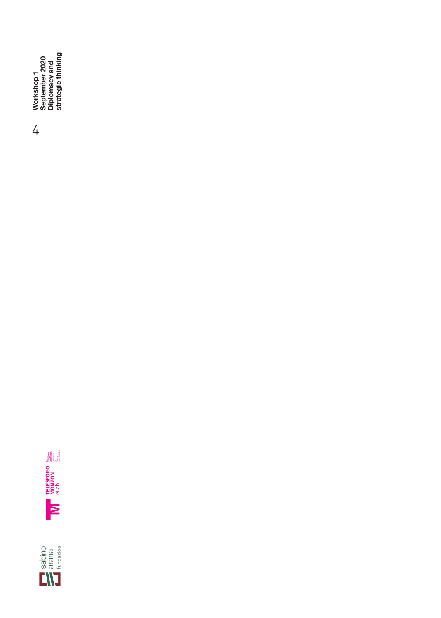



sabino<br>arana<br>arana<br>t<sub>undazioa</sub>

4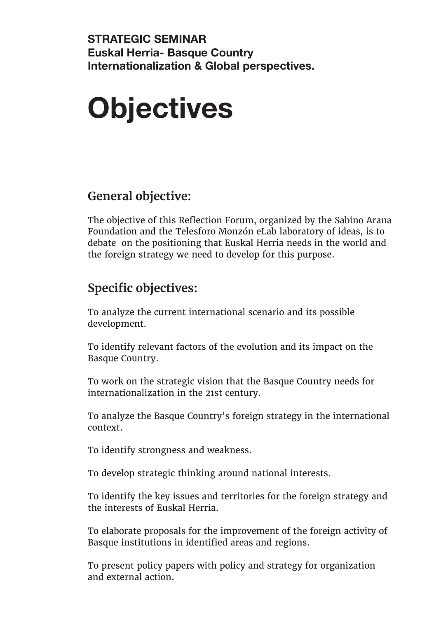**STRATEGIC SEMINAR Euskal Herria- Basque Country Internationalization & Global perspectives.**

# **Objectives**

## **General objective:**

The objective of this Reflection Forum, organized by the Sabino Arana Foundation and the Telesforo Monzón eLab laboratory of ideas, is to debate on the positioning that Euskal Herria needs in the world and the foreign strategy we need to develop for this purpose.

### **Specific objectives:**

To analyze the current international scenario and its possible development.

To identify relevant factors of the evolution and its impact on the Basque Country.

To work on the strategic vision that the Basque Country needs for internationalization in the 21st century.

To analyze the Basque Country's foreign strategy in the international context.

To identify strongness and weakness.

To develop strategic thinking around national interests.

To identify the key issues and territories for the foreign strategy and the interests of Euskal Herria.

To elaborate proposals for the improvement of the foreign activity of Basque institutions in identified areas and regions.

To present policy papers with policy and strategy for organization and external action.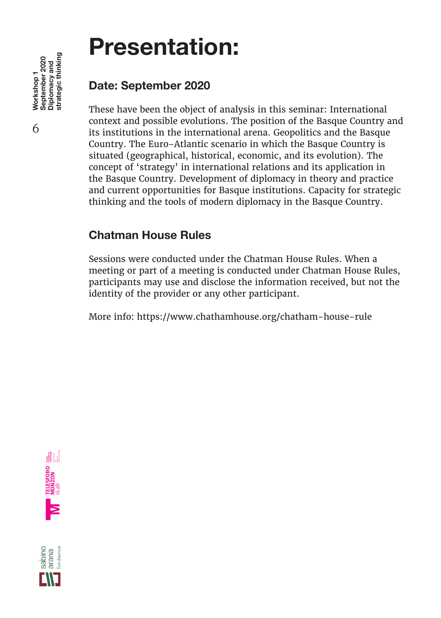6

## **Presentation:**

### **Date: September 2020**

These have been the object of analysis in this seminar: International context and possible evolutions. The position of the Basque Country and its institutions in the international arena. Geopolitics and the Basque Country. The Euro-Atlantic scenario in which the Basque Country is situated (geographical, historical, economic, and its evolution). The concept of 'strategy' in international relations and its application in the Basque Country. Development of diplomacy in theory and practice and current opportunities for Basque institutions. Capacity for strategic thinking and the tools of modern diplomacy in the Basque Country.

### **Chatman House Rules**

Sessions were conducted under the Chatman House Rules. When a meeting or part of a meeting is conducted under Chatman House Rules, participants may use and disclose the information received, but not the identity of the provider or any other participant.

More info: https://www.chathamhouse.org/chatham-house-rule



sabino<br>arana<br><sub>fundazioa</sub>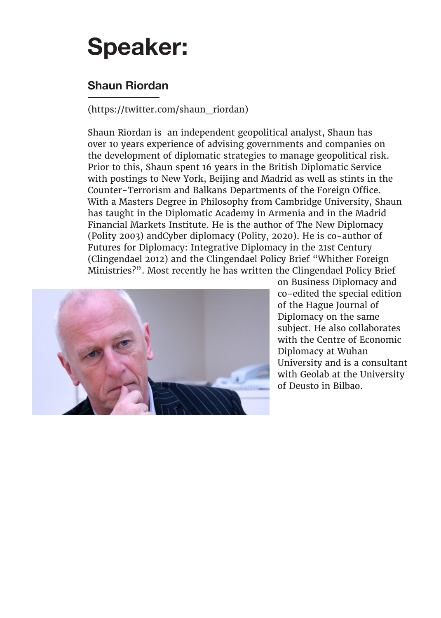# **Speaker:**

#### **Shaun Riordan**

(https://twitter.com/shaun\_riordan)

Shaun Riordan is an independent geopolitical analyst, Shaun has over 10 years experience of advising governments and companies on the development of diplomatic strategies to manage geopolitical risk. Prior to this, Shaun spent 16 years in the British Diplomatic Service with postings to New York, Beijing and Madrid as well as stints in the Counter-Terrorism and Balkans Departments of the Foreign Office. With a Masters Degree in Philosophy from Cambridge University, Shaun has taught in the Diplomatic Academy in Armenia and in the Madrid Financial Markets Institute. He is the author of The New Diplomacy (Polity 2003) andCyber diplomacy (Polity, 2020). He is co-author of Futures for Diplomacy: Integrative Diplomacy in the 21st Century (Clingendael 2012) and the Clingendael Policy Brief "Whither Foreign Ministries?". Most recently he has written the Clingendael Policy Brief



on Business Diplomacy and co-edited the special edition of the Hague Journal of Diplomacy on the same subject. He also collaborates with the Centre of Economic Diplomacy at Wuhan University and is a consultant with Geolab at the University of Deusto in Bilbao.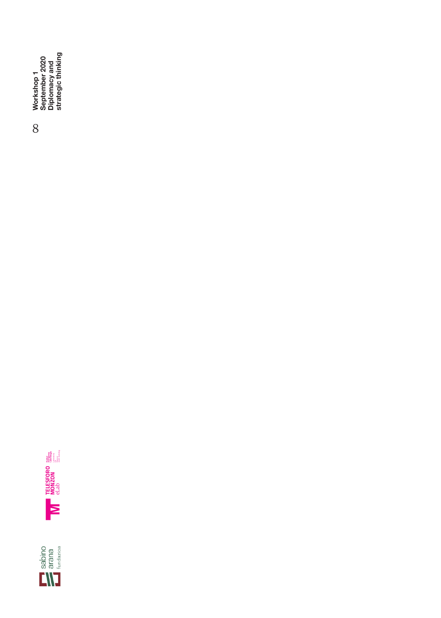

**TELESFORO MONZON** eLab

**Euskal**<br>Herrigina<br>Laboratory for Laborategia<br>Basque state-building<br>state-building



- 8
- 
-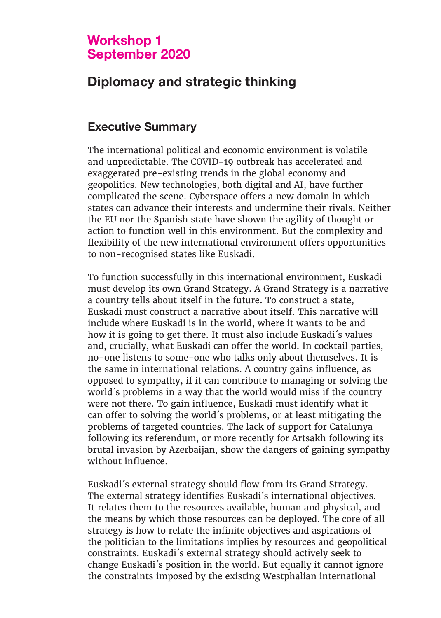#### **Workshop 1 September 2020**

### **Diplomacy and strategic thinking**

#### **Executive Summary**

The international political and economic environment is volatile and unpredictable. The COVID-19 outbreak has accelerated and exaggerated pre-existing trends in the global economy and geopolitics. New technologies, both digital and AI, have further complicated the scene. Cyberspace offers a new domain in which states can advance their interests and undermine their rivals. Neither the EU nor the Spanish state have shown the agility of thought or action to function well in this environment. But the complexity and flexibility of the new international environment offers opportunities to non-recognised states like Euskadi.

To function successfully in this international environment, Euskadi must develop its own Grand Strategy. A Grand Strategy is a narrative a country tells about itself in the future. To construct a state, Euskadi must construct a narrative about itself. This narrative will include where Euskadi is in the world, where it wants to be and how it is going to get there. It must also include Euskadi´s values and, crucially, what Euskadi can offer the world. In cocktail parties, no-one listens to some-one who talks only about themselves. It is the same in international relations. A country gains influence, as opposed to sympathy, if it can contribute to managing or solving the world´s problems in a way that the world would miss if the country were not there. To gain influence, Euskadi must identify what it can offer to solving the world´s problems, or at least mitigating the problems of targeted countries. The lack of support for Catalunya following its referendum, or more recently for Artsakh following its brutal invasion by Azerbaijan, show the dangers of gaining sympathy without influence.

Euskadi´s external strategy should flow from its Grand Strategy. The external strategy identifies Euskadi´s international objectives. It relates them to the resources available, human and physical, and the means by which those resources can be deployed. The core of all strategy is how to relate the infinite objectives and aspirations of the politician to the limitations implies by resources and geopolitical constraints. Euskadi´s external strategy should actively seek to change Euskadi´s position in the world. But equally it cannot ignore the constraints imposed by the existing Westphalian international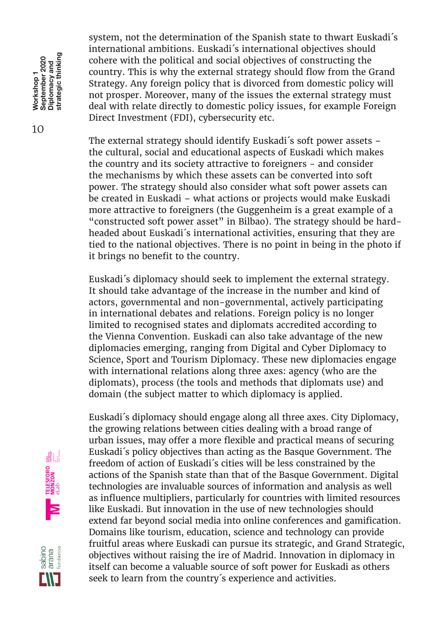10

**TELESFORO MONZON** eLab

sabino<br>arana

**Euskal**<br>Herrigina<br>Laboratory for Laborategia<br>Basque state-building<br>state-building

 $\overline{\mathsf{P}}$ 

system, not the determination of the Spanish state to thwart Euskadi´s international ambitions. Euskadi´s international objectives should cohere with the political and social objectives of constructing the country. This is why the external strategy should flow from the Grand Strategy. Any foreign policy that is divorced from domestic policy will not prosper. Moreover, many of the issues the external strategy must deal with relate directly to domestic policy issues, for example Foreign Direct Investment (FDI), cybersecurity etc.

The external strategy should identify Euskadi´s soft power assets – the cultural, social and educational aspects of Euskadi which makes the country and its society attractive to foreigners - and consider the mechanisms by which these assets can be converted into soft power. The strategy should also consider what soft power assets can be created in Euskadi – what actions or projects would make Euskadi more attractive to foreigners (the Guggenheim is a great example of a "constructed soft power asset" in Bilbao). The strategy should be hardheaded about Euskadi´s international activities, ensuring that they are tied to the national objectives. There is no point in being in the photo if it brings no benefit to the country.

Euskadi´s diplomacy should seek to implement the external strategy. It should take advantage of the increase in the number and kind of actors, governmental and non-governmental, actively participating in international debates and relations. Foreign policy is no longer limited to recognised states and diplomats accredited according to the Vienna Convention. Euskadi can also take advantage of the new diplomacies emerging, ranging from Digital and Cyber Diplomacy to Science, Sport and Tourism Diplomacy. These new diplomacies engage with international relations along three axes: agency (who are the diplomats), process (the tools and methods that diplomats use) and domain (the subject matter to which diplomacy is applied.

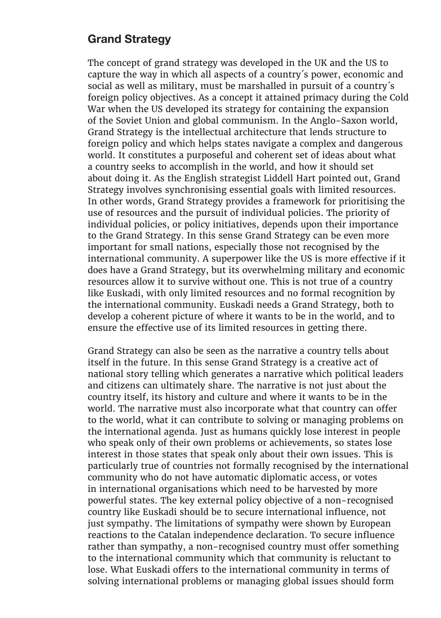#### **Grand Strategy**

The concept of grand strategy was developed in the UK and the US to capture the way in which all aspects of a country´s power, economic and social as well as military, must be marshalled in pursuit of a country´s foreign policy objectives. As a concept it attained primacy during the Cold War when the US developed its strategy for containing the expansion of the Soviet Union and global communism. In the Anglo-Saxon world, Grand Strategy is the intellectual architecture that lends structure to foreign policy and which helps states navigate a complex and dangerous world. It constitutes a purposeful and coherent set of ideas about what a country seeks to accomplish in the world, and how it should set about doing it. As the English strategist Liddell Hart pointed out, Grand Strategy involves synchronising essential goals with limited resources. In other words, Grand Strategy provides a framework for prioritising the use of resources and the pursuit of individual policies. The priority of individual policies, or policy initiatives, depends upon their importance to the Grand Strategy. In this sense Grand Strategy can be even more important for small nations, especially those not recognised by the international community. A superpower like the US is more effective if it does have a Grand Strategy, but its overwhelming military and economic resources allow it to survive without one. This is not true of a country like Euskadi, with only limited resources and no formal recognition by the international community. Euskadi needs a Grand Strategy, both to develop a coherent picture of where it wants to be in the world, and to ensure the effective use of its limited resources in getting there.

Grand Strategy can also be seen as the narrative a country tells about itself in the future. In this sense Grand Strategy is a creative act of national story telling which generates a narrative which political leaders and citizens can ultimately share. The narrative is not just about the country itself, its history and culture and where it wants to be in the world. The narrative must also incorporate what that country can offer to the world, what it can contribute to solving or managing problems on the international agenda. Just as humans quickly lose interest in people who speak only of their own problems or achievements, so states lose interest in those states that speak only about their own issues. This is particularly true of countries not formally recognised by the international community who do not have automatic diplomatic access, or votes in international organisations which need to be harvested by more powerful states. The key external policy objective of a non-recognised country like Euskadi should be to secure international influence, not just sympathy. The limitations of sympathy were shown by European reactions to the Catalan independence declaration. To secure influence rather than sympathy, a non-recognised country must offer something to the international community which that community is reluctant to lose. What Euskadi offers to the international community in terms of solving international problems or managing global issues should form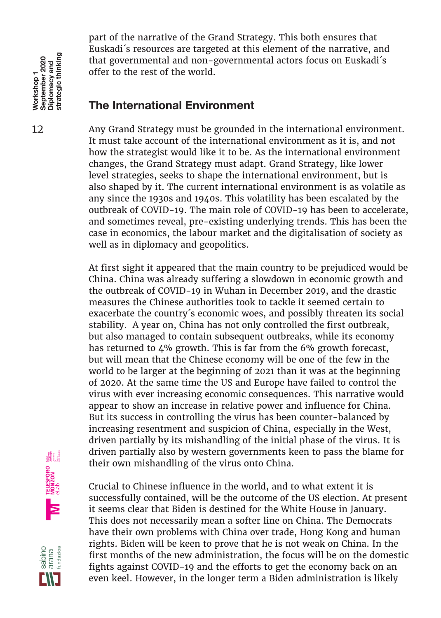12

part of the narrative of the Grand Strategy. This both ensures that Euskadi´s resources are targeted at this element of the narrative, and that governmental and non-governmental actors focus on Euskadi´s offer to the rest of the world.

#### **The International Environment**

Any Grand Strategy must be grounded in the international environment. It must take account of the international environment as it is, and not how the strategist would like it to be. As the international environment changes, the Grand Strategy must adapt. Grand Strategy, like lower level strategies, seeks to shape the international environment, but is also shaped by it. The current international environment is as volatile as any since the 1930s and 1940s. This volatility has been escalated by the outbreak of COVID-19. The main role of COVID-19 has been to accelerate, and sometimes reveal, pre-existing underlying trends. This has been the case in economics, the labour market and the digitalisation of society as well as in diplomacy and geopolitics.

At first sight it appeared that the main country to be prejudiced would be China. China was already suffering a slowdown in economic growth and the outbreak of COVID-19 in Wuhan in December 2019, and the drastic measures the Chinese authorities took to tackle it seemed certain to exacerbate the country´s economic woes, and possibly threaten its social stability. A year on, China has not only controlled the first outbreak, but also managed to contain subsequent outbreaks, while its economy has returned to 4% growth. This is far from the 6% growth forecast, but will mean that the Chinese economy will be one of the few in the world to be larger at the beginning of 2021 than it was at the beginning of 2020. At the same time the US and Europe have failed to control the virus with ever increasing economic consequences. This narrative would appear to show an increase in relative power and influence for China. But its success in controlling the virus has been counter-balanced by increasing resentment and suspicion of China, especially in the West, driven partially by its mishandling of the initial phase of the virus. It is driven partially also by western governments keen to pass the blame for their own mishandling of the virus onto China.

Basque state-building **Herrigintza Laborategia** Laboratory<br>for **Euskal TELESFORO MONZON** eLab  $\overline{\mathsf{P}}$ 



Crucial to Chinese influence in the world, and to what extent it is successfully contained, will be the outcome of the US election. At present it seems clear that Biden is destined for the White House in January. This does not necessarily mean a softer line on China. The Democrats have their own problems with China over trade, Hong Kong and human rights. Biden will be keen to prove that he is not weak on China. In the first months of the new administration, the focus will be on the domestic fights against COVID-19 and the efforts to get the economy back on an even keel. However, in the longer term a Biden administration is likely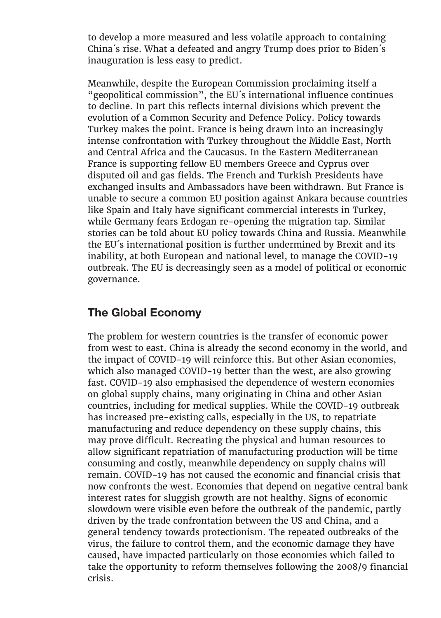to develop a more measured and less volatile approach to containing China´s rise. What a defeated and angry Trump does prior to Biden´s inauguration is less easy to predict.

Meanwhile, despite the European Commission proclaiming itself a "geopolitical commission", the EU´s international influence continues to decline. In part this reflects internal divisions which prevent the evolution of a Common Security and Defence Policy. Policy towards Turkey makes the point. France is being drawn into an increasingly intense confrontation with Turkey throughout the Middle East, North and Central Africa and the Caucasus. In the Eastern Mediterranean France is supporting fellow EU members Greece and Cyprus over disputed oil and gas fields. The French and Turkish Presidents have exchanged insults and Ambassadors have been withdrawn. But France is unable to secure a common EU position against Ankara because countries like Spain and Italy have significant commercial interests in Turkey, while Germany fears Erdogan re-opening the migration tap. Similar stories can be told about EU policy towards China and Russia. Meanwhile the EU´s international position is further undermined by Brexit and its inability, at both European and national level, to manage the COVID-19 outbreak. The EU is decreasingly seen as a model of political or economic governance.

#### **The Global Economy**

The problem for western countries is the transfer of economic power from west to east. China is already the second economy in the world, and the impact of COVID-19 will reinforce this. But other Asian economies, which also managed COVID-19 better than the west, are also growing fast. COVID-19 also emphasised the dependence of western economies on global supply chains, many originating in China and other Asian countries, including for medical supplies. While the COVID-19 outbreak has increased pre-existing calls, especially in the US, to repatriate manufacturing and reduce dependency on these supply chains, this may prove difficult. Recreating the physical and human resources to allow significant repatriation of manufacturing production will be time consuming and costly, meanwhile dependency on supply chains will remain. COVID-19 has not caused the economic and financial crisis that now confronts the west. Economies that depend on negative central bank interest rates for sluggish growth are not healthy. Signs of economic slowdown were visible even before the outbreak of the pandemic, partly driven by the trade confrontation between the US and China, and a general tendency towards protectionism. The repeated outbreaks of the virus, the failure to control them, and the economic damage they have caused, have impacted particularly on those economies which failed to take the opportunity to reform themselves following the 2008/9 financial crisis.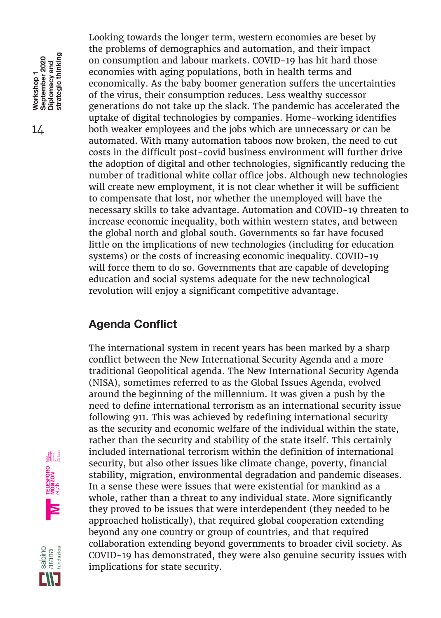14

Looking towards the longer term, western economies are beset by the problems of demographics and automation, and their impact on consumption and labour markets. COVID-19 has hit hard those economies with aging populations, both in health terms and economically. As the baby boomer generation suffers the uncertainties of the virus, their consumption reduces. Less wealthy successor generations do not take up the slack. The pandemic has accelerated the uptake of digital technologies by companies. Home-working identifies both weaker employees and the jobs which are unnecessary or can be automated. With many automation taboos now broken, the need to cut costs in the difficult post-covid business environment will further drive the adoption of digital and other technologies, significantly reducing the number of traditional white collar office jobs. Although new technologies will create new employment, it is not clear whether it will be sufficient to compensate that lost, nor whether the unemployed will have the necessary skills to take advantage. Automation and COVID-19 threaten to increase economic inequality, both within western states, and between the global north and global south. Governments so far have focused little on the implications of new technologies (including for education systems) or the costs of increasing economic inequality. COVID-19 will force them to do so. Governments that are capable of developing education and social systems adequate for the new technological revolution will enjoy a significant competitive advantage.

#### **Agenda Conflict**

The international system in recent years has been marked by a sharp conflict between the New International Security Agenda and a more traditional Geopolitical agenda. The New International Security Agenda (NISA), sometimes referred to as the Global Issues Agenda, evolved around the beginning of the millennium. It was given a push by the need to define international terrorism as an international security issue following 911. This was achieved by redefining international security as the security and economic welfare of the individual within the state, rather than the security and stability of the state itself. This certainly included international terrorism within the definition of international security, but also other issues like climate change, poverty, financial stability, migration, environmental degradation and pandemic diseases. In a sense these were issues that were existential for mankind as a whole, rather than a threat to any individual state. More significantly they proved to be issues that were interdependent (they needed to be approached holistically), that required global cooperation extending beyond any one country or group of countries, and that required collaboration extending beyond governments to broader civil society. As COVID-19 has demonstrated, they were also genuine security issues with implications for state security.



sabino<br>arana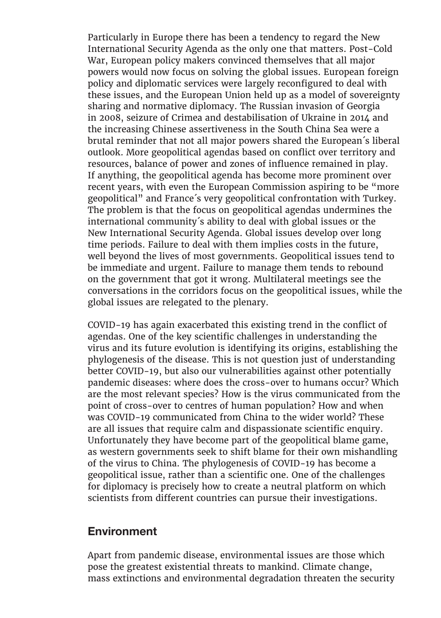Particularly in Europe there has been a tendency to regard the New International Security Agenda as the only one that matters. Post-Cold War, European policy makers convinced themselves that all major powers would now focus on solving the global issues. European foreign policy and diplomatic services were largely reconfigured to deal with these issues, and the European Union held up as a model of sovereignty sharing and normative diplomacy. The Russian invasion of Georgia in 2008, seizure of Crimea and destabilisation of Ukraine in 2014 and the increasing Chinese assertiveness in the South China Sea were a brutal reminder that not all major powers shared the European´s liberal outlook. More geopolitical agendas based on conflict over territory and resources, balance of power and zones of influence remained in play. If anything, the geopolitical agenda has become more prominent over recent years, with even the European Commission aspiring to be "more geopolitical" and France´s very geopolitical confrontation with Turkey. The problem is that the focus on geopolitical agendas undermines the international community´s ability to deal with global issues or the New International Security Agenda. Global issues develop over long time periods. Failure to deal with them implies costs in the future, well beyond the lives of most governments. Geopolitical issues tend to be immediate and urgent. Failure to manage them tends to rebound on the government that got it wrong. Multilateral meetings see the conversations in the corridors focus on the geopolitical issues, while the global issues are relegated to the plenary.

COVID-19 has again exacerbated this existing trend in the conflict of agendas. One of the key scientific challenges in understanding the virus and its future evolution is identifying its origins, establishing the phylogenesis of the disease. This is not question just of understanding better COVID-19, but also our vulnerabilities against other potentially pandemic diseases: where does the cross-over to humans occur? Which are the most relevant species? How is the virus communicated from the point of cross-over to centres of human population? How and when was COVID-19 communicated from China to the wider world? These are all issues that require calm and dispassionate scientific enquiry. Unfortunately they have become part of the geopolitical blame game, as western governments seek to shift blame for their own mishandling of the virus to China. The phylogenesis of COVID-19 has become a geopolitical issue, rather than a scientific one. One of the challenges for diplomacy is precisely how to create a neutral platform on which scientists from different countries can pursue their investigations.

#### **Environment**

Apart from pandemic disease, environmental issues are those which pose the greatest existential threats to mankind. Climate change, mass extinctions and environmental degradation threaten the security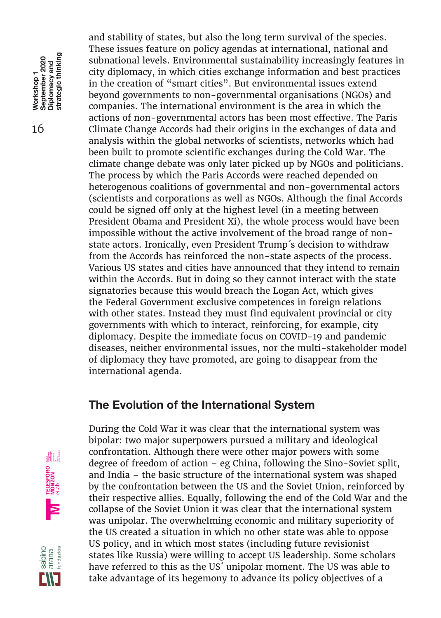16

and stability of states, but also the long term survival of the species. These issues feature on policy agendas at international, national and subnational levels. Environmental sustainability increasingly features in city diplomacy, in which cities exchange information and best practices in the creation of "smart cities". But environmental issues extend beyond governments to non-governmental organisations (NGOs) and companies. The international environment is the area in which the actions of non-governmental actors has been most effective. The Paris Climate Change Accords had their origins in the exchanges of data and analysis within the global networks of scientists, networks which had been built to promote scientific exchanges during the Cold War. The climate change debate was only later picked up by NGOs and politicians. The process by which the Paris Accords were reached depended on heterogenous coalitions of governmental and non-governmental actors (scientists and corporations as well as NGOs. Although the final Accords could be signed off only at the highest level (in a meeting between President Obama and President Xi), the whole process would have been impossible without the active involvement of the broad range of nonstate actors. Ironically, even President Trump´s decision to withdraw from the Accords has reinforced the non-state aspects of the process. Various US states and cities have announced that they intend to remain within the Accords. But in doing so they cannot interact with the state signatories because this would breach the Logan Act, which gives the Federal Government exclusive competences in foreign relations with other states. Instead they must find equivalent provincial or city governments with which to interact, reinforcing, for example, city diplomacy. Despite the immediate focus on COVID-19 and pandemic diseases, neither environmental issues, nor the multi-stakeholder model of diplomacy they have promoted, are going to disappear from the international agenda.

#### **The Evolution of the International System**



sabino<br>arana

During the Cold War it was clear that the international system was bipolar: two major superpowers pursued a military and ideological confrontation. Although there were other major powers with some degree of freedom of action – eg China, following the Sino-Soviet split, and India – the basic structure of the international system was shaped by the confrontation between the US and the Soviet Union, reinforced by their respective allies. Equally, following the end of the Cold War and the collapse of the Soviet Union it was clear that the international system was unipolar. The overwhelming economic and military superiority of the US created a situation in which no other state was able to oppose US policy, and in which most states (including future revisionist states like Russia) were willing to accept US leadership. Some scholars have referred to this as the US´ unipolar moment. The US was able to take advantage of its hegemony to advance its policy objectives of a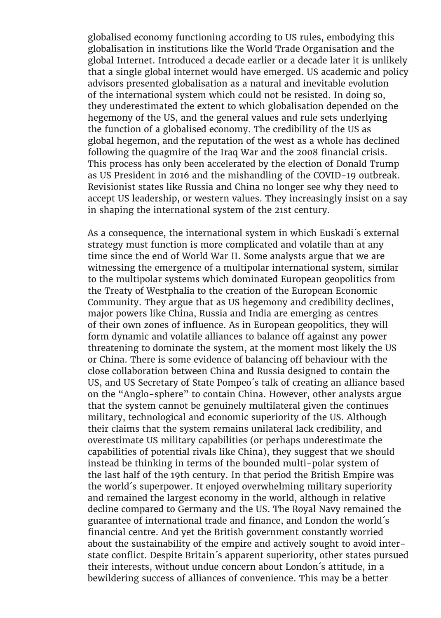globalised economy functioning according to US rules, embodying this globalisation in institutions like the World Trade Organisation and the global Internet. Introduced a decade earlier or a decade later it is unlikely that a single global internet would have emerged. US academic and policy advisors presented globalisation as a natural and inevitable evolution of the international system which could not be resisted. In doing so, they underestimated the extent to which globalisation depended on the hegemony of the US, and the general values and rule sets underlying the function of a globalised economy. The credibility of the US as global hegemon, and the reputation of the west as a whole has declined following the quagmire of the Iraq War and the 2008 financial crisis. This process has only been accelerated by the election of Donald Trump as US President in 2016 and the mishandling of the COVID-19 outbreak. Revisionist states like Russia and China no longer see why they need to accept US leadership, or western values. They increasingly insist on a say in shaping the international system of the 21st century.

As a consequence, the international system in which Euskadi´s external strategy must function is more complicated and volatile than at any time since the end of World War II. Some analysts argue that we are witnessing the emergence of a multipolar international system, similar to the multipolar systems which dominated European geopolitics from the Treaty of Westphalia to the creation of the European Economic Community. They argue that as US hegemony and credibility declines, major powers like China, Russia and India are emerging as centres of their own zones of influence. As in European geopolitics, they will form dynamic and volatile alliances to balance off against any power threatening to dominate the system, at the moment most likely the US or China. There is some evidence of balancing off behaviour with the close collaboration between China and Russia designed to contain the US, and US Secretary of State Pompeo´s talk of creating an alliance based on the "Anglo-sphere" to contain China. However, other analysts argue that the system cannot be genuinely multilateral given the continues military, technological and economic superiority of the US. Although their claims that the system remains unilateral lack credibility, and overestimate US military capabilities (or perhaps underestimate the capabilities of potential rivals like China), they suggest that we should instead be thinking in terms of the bounded multi-polar system of the last half of the 19th century. In that period the British Empire was the world´s superpower. It enjoyed overwhelming military superiority and remained the largest economy in the world, although in relative decline compared to Germany and the US. The Royal Navy remained the guarantee of international trade and finance, and London the world´s financial centre. And yet the British government constantly worried about the sustainability of the empire and actively sought to avoid interstate conflict. Despite Britain´s apparent superiority, other states pursued their interests, without undue concern about London´s attitude, in a bewildering success of alliances of convenience. This may be a better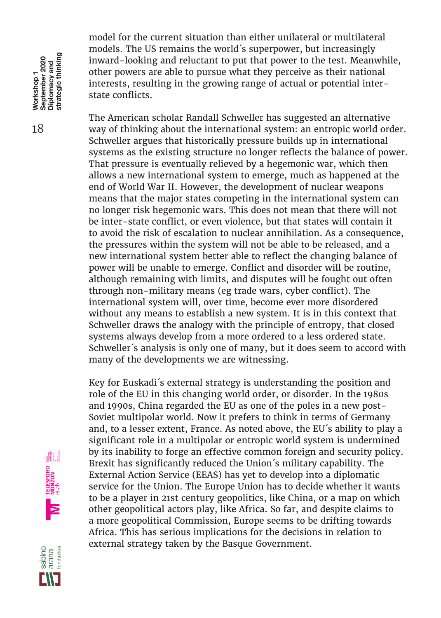18

model for the current situation than either unilateral or multilateral models. The US remains the world´s superpower, but increasingly inward-looking and reluctant to put that power to the test. Meanwhile, other powers are able to pursue what they perceive as their national interests, resulting in the growing range of actual or potential interstate conflicts.

The American scholar Randall Schweller has suggested an alternative way of thinking about the international system: an entropic world order. Schweller argues that historically pressure builds up in international systems as the existing structure no longer reflects the balance of power. That pressure is eventually relieved by a hegemonic war, which then allows a new international system to emerge, much as happened at the end of World War II. However, the development of nuclear weapons means that the major states competing in the international system can no longer risk hegemonic wars. This does not mean that there will not be inter-state conflict, or even violence, but that states will contain it to avoid the risk of escalation to nuclear annihilation. As a consequence, the pressures within the system will not be able to be released, and a new international system better able to reflect the changing balance of power will be unable to emerge. Conflict and disorder will be routine, although remaining with limits, and disputes will be fought out often through non-military means (eg trade wars, cyber conflict). The international system will, over time, become ever more disordered without any means to establish a new system. It is in this context that Schweller draws the analogy with the principle of entropy, that closed systems always develop from a more ordered to a less ordered state. Schweller´s analysis is only one of many, but it does seem to accord with many of the developments we are witnessing.

Key for Euskadi´s external strategy is understanding the position and role of the EU in this changing world order, or disorder. In the 1980s and 1990s, China regarded the EU as one of the poles in a new post-Soviet multipolar world. Now it prefers to think in terms of Germany and, to a lesser extent, France. As noted above, the EU´s ability to play a significant role in a multipolar or entropic world system is undermined by its inability to forge an effective common foreign and security policy. Brexit has significantly reduced the Union´s military capability. The External Action Service (EEAS) has yet to develop into a diplomatic service for the Union. The Europe Union has to decide whether it wants to be a player in 21st century geopolitics, like China, or a map on which other geopolitical actors play, like Africa. So far, and despite claims to a more geopolitical Commission, Europe seems to be drifting towards Africa. This has serious implications for the decisions in relation to external strategy taken by the Basque Government.

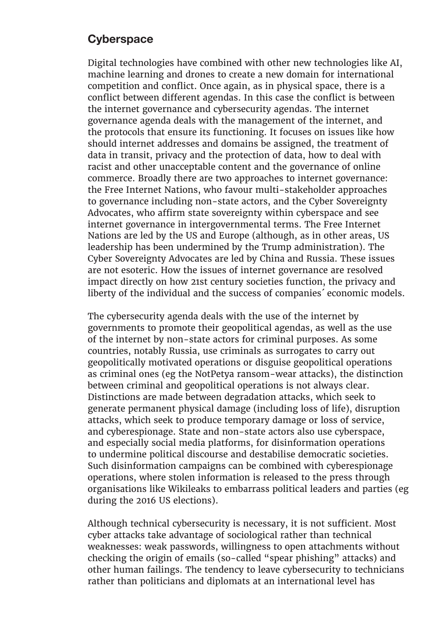#### **Cyberspace**

Digital technologies have combined with other new technologies like AI, machine learning and drones to create a new domain for international competition and conflict. Once again, as in physical space, there is a conflict between different agendas. In this case the conflict is between the internet governance and cybersecurity agendas. The internet governance agenda deals with the management of the internet, and the protocols that ensure its functioning. It focuses on issues like how should internet addresses and domains be assigned, the treatment of data in transit, privacy and the protection of data, how to deal with racist and other unacceptable content and the governance of online commerce. Broadly there are two approaches to internet governance: the Free Internet Nations, who favour multi-stakeholder approaches to governance including non-state actors, and the Cyber Sovereignty Advocates, who affirm state sovereignty within cyberspace and see internet governance in intergovernmental terms. The Free Internet Nations are led by the US and Europe (although, as in other areas, US leadership has been undermined by the Trump administration). The Cyber Sovereignty Advocates are led by China and Russia. These issues are not esoteric. How the issues of internet governance are resolved impact directly on how 21st century societies function, the privacy and liberty of the individual and the success of companies´ economic models.

The cybersecurity agenda deals with the use of the internet by governments to promote their geopolitical agendas, as well as the use of the internet by non-state actors for criminal purposes. As some countries, notably Russia, use criminals as surrogates to carry out geopolitically motivated operations or disguise geopolitical operations as criminal ones (eg the NotPetya ransom-wear attacks), the distinction between criminal and geopolitical operations is not always clear. Distinctions are made between degradation attacks, which seek to generate permanent physical damage (including loss of life), disruption attacks, which seek to produce temporary damage or loss of service, and cyberespionage. State and non-state actors also use cyberspace, and especially social media platforms, for disinformation operations to undermine political discourse and destabilise democratic societies. Such disinformation campaigns can be combined with cyberespionage operations, where stolen information is released to the press through organisations like Wikileaks to embarrass political leaders and parties (eg during the 2016 US elections).

Although technical cybersecurity is necessary, it is not sufficient. Most cyber attacks take advantage of sociological rather than technical weaknesses: weak passwords, willingness to open attachments without checking the origin of emails (so-called "spear phishing" attacks) and other human failings. The tendency to leave cybersecurity to technicians rather than politicians and diplomats at an international level has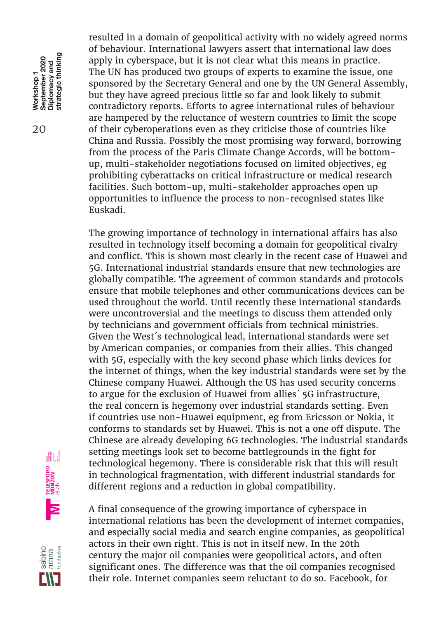20

resulted in a domain of geopolitical activity with no widely agreed norms of behaviour. International lawyers assert that international law does apply in cyberspace, but it is not clear what this means in practice. The UN has produced two groups of experts to examine the issue, one sponsored by the Secretary General and one by the UN General Assembly, but they have agreed precious little so far and look likely to submit contradictory reports. Efforts to agree international rules of behaviour are hampered by the reluctance of western countries to limit the scope of their cyberoperations even as they criticise those of countries like China and Russia. Possibly the most promising way forward, borrowing from the process of the Paris Climate Change Accords, will be bottomup, multi-stakeholder negotiations focused on limited objectives, eg prohibiting cyberattacks on critical infrastructure or medical research facilities. Such bottom-up, multi-stakeholder approaches open up opportunities to influence the process to non-recognised states like Euskadi.

The growing importance of technology in international affairs has also resulted in technology itself becoming a domain for geopolitical rivalry and conflict. This is shown most clearly in the recent case of Huawei and 5G. International industrial standards ensure that new technologies are globally compatible. The agreement of common standards and protocols ensure that mobile telephones and other communications devices can be used throughout the world. Until recently these international standards were uncontroversial and the meetings to discuss them attended only by technicians and government officials from technical ministries. Given the West´s technological lead, international standards were set by American companies, or companies from their allies. This changed with 5G, especially with the key second phase which links devices for the internet of things, when the key industrial standards were set by the Chinese company Huawei. Although the US has used security concerns to argue for the exclusion of Huawei from allies´ 5G infrastructure, the real concern is hegemony over industrial standards setting. Even if countries use non-Huawei equipment, eg from Ericsson or Nokia, it conforms to standards set by Huawei. This is not a one off dispute. The Chinese are already developing 6G technologies. The industrial standards setting meetings look set to become battlegrounds in the fight for technological hegemony. There is considerable risk that this will result in technological fragmentation, with different industrial standards for different regions and a reduction in global compatibility.





A final consequence of the growing importance of cyberspace in international relations has been the development of internet companies, and especially social media and search engine companies, as geopolitical actors in their own right. This is not in itself new. In the 20th century the major oil companies were geopolitical actors, and often significant ones. The difference was that the oil companies recognised their role. Internet companies seem reluctant to do so. Facebook, for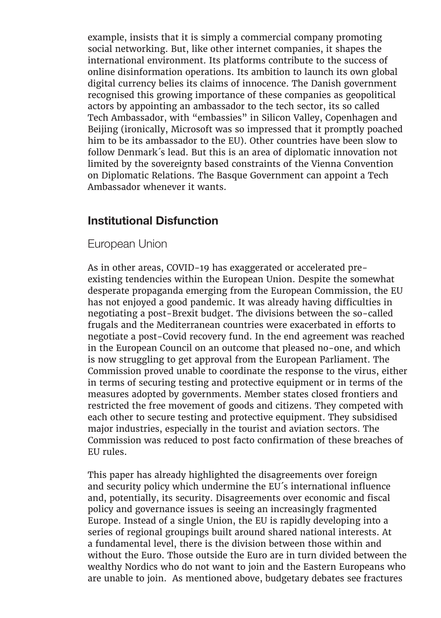example, insists that it is simply a commercial company promoting social networking. But, like other internet companies, it shapes the international environment. Its platforms contribute to the success of online disinformation operations. Its ambition to launch its own global digital currency belies its claims of innocence. The Danish government recognised this growing importance of these companies as geopolitical actors by appointing an ambassador to the tech sector, its so called Tech Ambassador, with "embassies" in Silicon Valley, Copenhagen and Beijing (ironically, Microsoft was so impressed that it promptly poached him to be its ambassador to the EU). Other countries have been slow to follow Denmark´s lead. But this is an area of diplomatic innovation not limited by the sovereignty based constraints of the Vienna Convention on Diplomatic Relations. The Basque Government can appoint a Tech Ambassador whenever it wants.

#### **Institutional Disfunction**

European Union

As in other areas, COVID-19 has exaggerated or accelerated preexisting tendencies within the European Union. Despite the somewhat desperate propaganda emerging from the European Commission, the EU has not enjoyed a good pandemic. It was already having difficulties in negotiating a post-Brexit budget. The divisions between the so-called frugals and the Mediterranean countries were exacerbated in efforts to negotiate a post-Covid recovery fund. In the end agreement was reached in the European Council on an outcome that pleased no-one, and which is now struggling to get approval from the European Parliament. The Commission proved unable to coordinate the response to the virus, either in terms of securing testing and protective equipment or in terms of the measures adopted by governments. Member states closed frontiers and restricted the free movement of goods and citizens. They competed with each other to secure testing and protective equipment. They subsidised major industries, especially in the tourist and aviation sectors. The Commission was reduced to post facto confirmation of these breaches of EU rules.

This paper has already highlighted the disagreements over foreign and security policy which undermine the EU´s international influence and, potentially, its security. Disagreements over economic and fiscal policy and governance issues is seeing an increasingly fragmented Europe. Instead of a single Union, the EU is rapidly developing into a series of regional groupings built around shared national interests. At a fundamental level, there is the division between those within and without the Euro. Those outside the Euro are in turn divided between the wealthy Nordics who do not want to join and the Eastern Europeans who are unable to join. As mentioned above, budgetary debates see fractures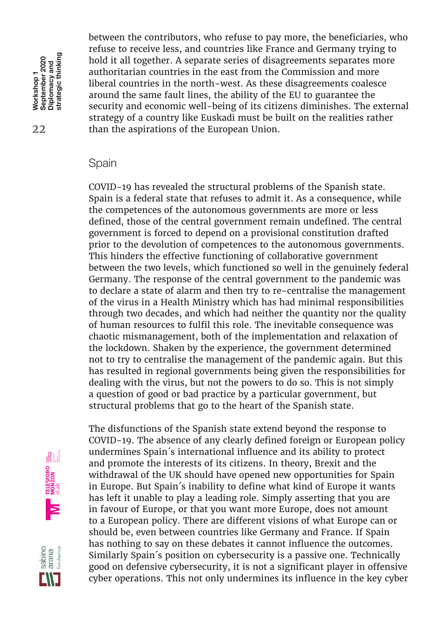22

between the contributors, who refuse to pay more, the beneficiaries, who refuse to receive less, and countries like France and Germany trying to hold it all together. A separate series of disagreements separates more authoritarian countries in the east from the Commission and more liberal countries in the north-west. As these disagreements coalesce around the same fault lines, the ability of the EU to guarantee the security and economic well-being of its citizens diminishes. The external strategy of a country like Euskadi must be built on the realities rather than the aspirations of the European Union.

#### Spain

COVID-19 has revealed the structural problems of the Spanish state. Spain is a federal state that refuses to admit it. As a consequence, while the competences of the autonomous governments are more or less defined, those of the central government remain undefined. The central government is forced to depend on a provisional constitution drafted prior to the devolution of competences to the autonomous governments. This hinders the effective functioning of collaborative government between the two levels, which functioned so well in the genuinely federal Germany. The response of the central government to the pandemic was to declare a state of alarm and then try to re-centralise the management of the virus in a Health Ministry which has had minimal responsibilities through two decades, and which had neither the quantity nor the quality of human resources to fulfil this role. The inevitable consequence was chaotic mismanagement, both of the implementation and relaxation of the lockdown. Shaken by the experience, the government determined not to try to centralise the management of the pandemic again. But this has resulted in regional governments being given the responsibilities for dealing with the virus, but not the powers to do so. This is not simply a question of good or bad practice by a particular government, but structural problems that go to the heart of the Spanish state.





COVID-19. The absence of any clearly defined foreign or European policy undermines Spain´s international influence and its ability to protect and promote the interests of its citizens. In theory, Brexit and the withdrawal of the UK should have opened new opportunities for Spain in Europe. But Spain´s inability to define what kind of Europe it wants has left it unable to play a leading role. Simply asserting that you are in favour of Europe, or that you want more Europe, does not amount to a European policy. There are different visions of what Europe can or should be, even between countries like Germany and France. If Spain has nothing to say on these debates it cannot influence the outcomes. Similarly Spain´s position on cybersecurity is a passive one. Technically good on defensive cybersecurity, it is not a significant player in offensive cyber operations. This not only undermines its influence in the key cyber

The disfunctions of the Spanish state extend beyond the response to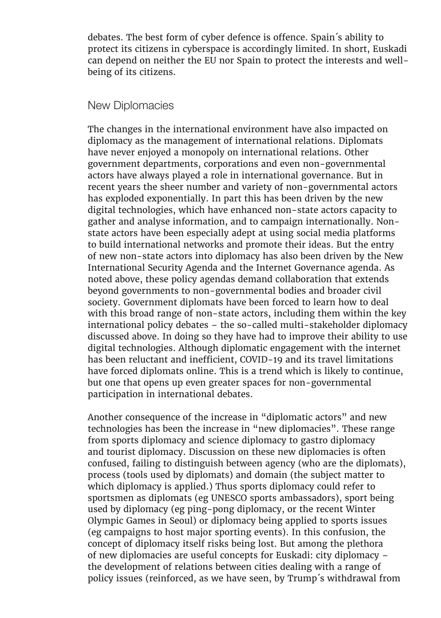debates. The best form of cyber defence is offence. Spain´s ability to protect its citizens in cyberspace is accordingly limited. In short, Euskadi can depend on neither the EU nor Spain to protect the interests and wellbeing of its citizens.

#### New Diplomacies

The changes in the international environment have also impacted on diplomacy as the management of international relations. Diplomats have never enjoyed a monopoly on international relations. Other government departments, corporations and even non-governmental actors have always played a role in international governance. But in recent years the sheer number and variety of non-governmental actors has exploded exponentially. In part this has been driven by the new digital technologies, which have enhanced non-state actors capacity to gather and analyse information, and to campaign internationally. Nonstate actors have been especially adept at using social media platforms to build international networks and promote their ideas. But the entry of new non-state actors into diplomacy has also been driven by the New International Security Agenda and the Internet Governance agenda. As noted above, these policy agendas demand collaboration that extends beyond governments to non-governmental bodies and broader civil society. Government diplomats have been forced to learn how to deal with this broad range of non-state actors, including them within the key international policy debates – the so-called multi-stakeholder diplomacy discussed above. In doing so they have had to improve their ability to use digital technologies. Although diplomatic engagement with the internet has been reluctant and inefficient, COVID-19 and its travel limitations have forced diplomats online. This is a trend which is likely to continue, but one that opens up even greater spaces for non-governmental participation in international debates.

Another consequence of the increase in "diplomatic actors" and new technologies has been the increase in "new diplomacies". These range from sports diplomacy and science diplomacy to gastro diplomacy and tourist diplomacy. Discussion on these new diplomacies is often confused, failing to distinguish between agency (who are the diplomats), process (tools used by diplomats) and domain (the subject matter to which diplomacy is applied.) Thus sports diplomacy could refer to sportsmen as diplomats (eg UNESCO sports ambassadors), sport being used by diplomacy (eg ping-pong diplomacy, or the recent Winter Olympic Games in Seoul) or diplomacy being applied to sports issues (eg campaigns to host major sporting events). In this confusion, the concept of diplomacy itself risks being lost. But among the plethora of new diplomacies are useful concepts for Euskadi: city diplomacy – the development of relations between cities dealing with a range of policy issues (reinforced, as we have seen, by Trump´s withdrawal from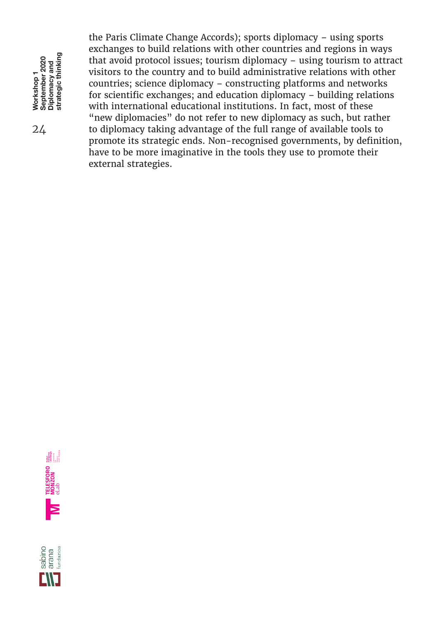24

the Paris Climate Change Accords); sports diplomacy – using sports exchanges to build relations with other countries and regions in ways that avoid protocol issues; tourism diplomacy – using tourism to attract visitors to the country and to build administrative relations with other countries; science diplomacy – constructing platforms and networks for scientific exchanges; and education diplomacy – building relations with international educational institutions. In fact, most of these "new diplomacies" do not refer to new diplomacy as such, but rather to diplomacy taking advantage of the full range of available tools to promote its strategic ends. Non-recognised governments, by definition, have to be more imaginative in the tools they use to promote their external strategies.



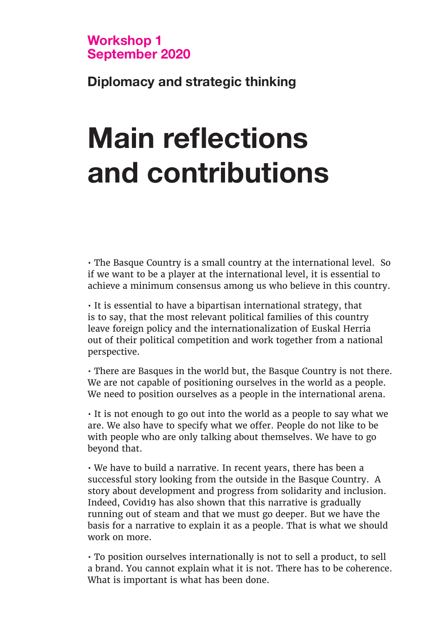#### **Workshop 1 September 2020**

**Diplomacy and strategic thinking** 

# **Main reflections and contributions**

• The Basque Country is a small country at the international level. So if we want to be a player at the international level, it is essential to achieve a minimum consensus among us who believe in this country.

• It is essential to have a bipartisan international strategy, that is to say, that the most relevant political families of this country leave foreign policy and the internationalization of Euskal Herria out of their political competition and work together from a national perspective.

• There are Basques in the world but, the Basque Country is not there. We are not capable of positioning ourselves in the world as a people. We need to position ourselves as a people in the international arena.

• It is not enough to go out into the world as a people to say what we are. We also have to specify what we offer. People do not like to be with people who are only talking about themselves. We have to go beyond that.

• We have to build a narrative. In recent years, there has been a successful story looking from the outside in the Basque Country. A story about development and progress from solidarity and inclusion. Indeed, Covid19 has also shown that this narrative is gradually running out of steam and that we must go deeper. But we have the basis for a narrative to explain it as a people. That is what we should work on more.

• To position ourselves internationally is not to sell a product, to sell a brand. You cannot explain what it is not. There has to be coherence. What is important is what has been done.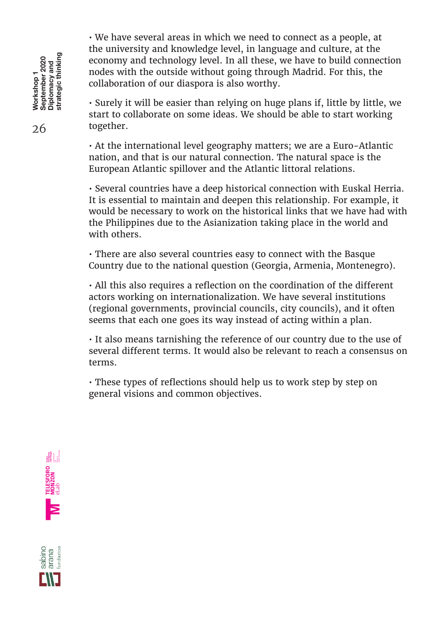• We have several areas in which we need to connect as a people, at the university and knowledge level, in language and culture, at the economy and technology level. In all these, we have to build connection nodes with the outside without going through Madrid. For this, the collaboration of our diaspora is also worthy.

• Surely it will be easier than relying on huge plans if, little by little, we start to collaborate on some ideas. We should be able to start working together.

• At the international level geography matters; we are a Euro-Atlantic nation, and that is our natural connection. The natural space is the European Atlantic spillover and the Atlantic littoral relations.

• Several countries have a deep historical connection with Euskal Herria. It is essential to maintain and deepen this relationship. For example, it would be necessary to work on the historical links that we have had with the Philippines due to the Asianization taking place in the world and with others.

• There are also several countries easy to connect with the Basque Country due to the national question (Georgia, Armenia, Montenegro).

• All this also requires a reflection on the coordination of the different actors working on internationalization. We have several institutions (regional governments, provincial councils, city councils), and it often seems that each one goes its way instead of acting within a plan.

• It also means tarnishing the reference of our country due to the use of several different terms. It would also be relevant to reach a consensus on terms.

• These types of reflections should help us to work step by step on general visions and common objectives.



sabino<br>arana<br><sub>fundazioa</sub>

Workshop 1<br>September 2020<br>Diplomacy and<br>Diplomacy and<br>strategic thinking **strategic thinking September 2020 Diplomacy and Workshop 1**

26